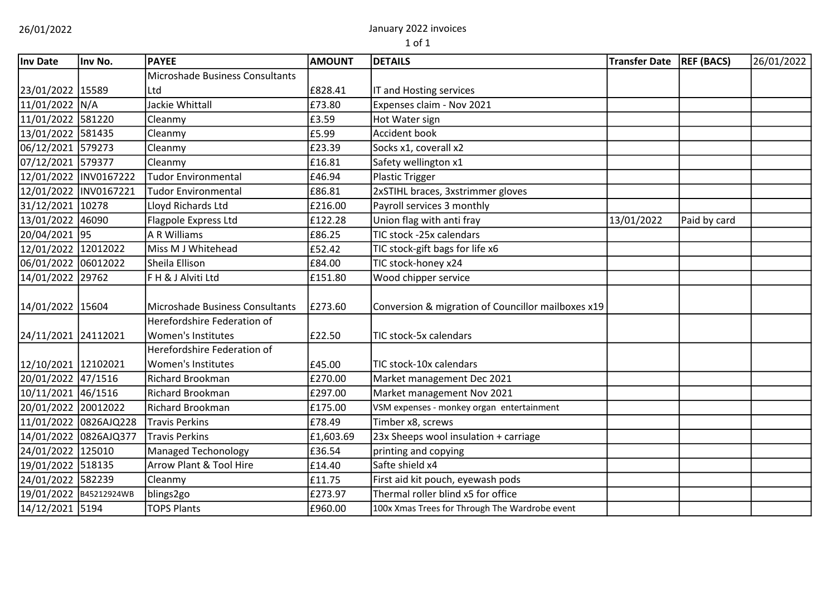# 26/01/2022 January 2022 invoices

| Inv Date               | Inv No.               | <b>PAYEE</b>                    | <b>AMOUNT</b> | <b>DETAILS</b>                                     | <b>Transfer Date</b> | <b>REF (BACS)</b> | 26/01/2022 |
|------------------------|-----------------------|---------------------------------|---------------|----------------------------------------------------|----------------------|-------------------|------------|
|                        |                       | Microshade Business Consultants |               |                                                    |                      |                   |            |
| 23/01/2022 15589       |                       | Ltd                             | £828.41       | IT and Hosting services                            |                      |                   |            |
| 11/01/2022 N/A         |                       | Jackie Whittall                 | £73.80        | Expenses claim - Nov 2021                          |                      |                   |            |
| 11/01/2022 581220      |                       | Cleanmy                         | £3.59         | Hot Water sign                                     |                      |                   |            |
| 13/01/2022 581435      |                       | Cleanmy                         | £5.99         | Accident book                                      |                      |                   |            |
| 06/12/2021             | 579273                | Cleanmy                         | £23.39        | Socks x1, coverall x2                              |                      |                   |            |
| 07/12/2021 579377      |                       | Cleanmy                         | £16.81        | Safety wellington x1                               |                      |                   |            |
| 12/01/2022 INV0167222  |                       | <b>Tudor Environmental</b>      | £46.94        | <b>Plastic Trigger</b>                             |                      |                   |            |
| 12/01/2022 INV0167221  |                       | <b>Tudor Environmental</b>      | £86.81        | 2xSTIHL braces, 3xstrimmer gloves                  |                      |                   |            |
| 31/12/2021 10278       |                       | Lloyd Richards Ltd              | £216.00       | Payroll services 3 monthly                         |                      |                   |            |
| 13/01/2022 46090       |                       | Flagpole Express Ltd            | £122.28       | Union flag with anti fray                          | 13/01/2022           | Paid by card      |            |
| 20/04/2021             | 95                    | <b>A R Williams</b>             | £86.25        | TIC stock -25x calendars                           |                      |                   |            |
| 12/01/2022 12012022    |                       | Miss M J Whitehead              | £52.42        | TIC stock-gift bags for life x6                    |                      |                   |            |
| 06/01/2022 06012022    |                       | Sheila Ellison                  | £84.00        | TIC stock-honey x24                                |                      |                   |            |
| 14/01/2022 29762       |                       | F H & J Alviti Ltd              | £151.80       | Wood chipper service                               |                      |                   |            |
| 14/01/2022 15604       |                       | Microshade Business Consultants | £273.60       | Conversion & migration of Councillor mailboxes x19 |                      |                   |            |
|                        |                       | Herefordshire Federation of     |               |                                                    |                      |                   |            |
| 24/11/2021 24112021    |                       | Women's Institutes              | £22.50        | <b>TIC stock-5x calendars</b>                      |                      |                   |            |
|                        |                       | Herefordshire Federation of     |               |                                                    |                      |                   |            |
| 12/10/2021 12102021    |                       | Women's Institutes              | £45.00        | TIC stock-10x calendars                            |                      |                   |            |
| 20/01/2022 47/1516     |                       | <b>Richard Brookman</b>         | £270.00       | Market management Dec 2021                         |                      |                   |            |
| 10/11/2021 46/1516     |                       | <b>Richard Brookman</b>         | £297.00       | Market management Nov 2021                         |                      |                   |            |
| 20/01/2022 20012022    |                       | <b>Richard Brookman</b>         | £175.00       | VSM expenses - monkey organ entertainment          |                      |                   |            |
|                        | 11/01/2022 0826AJQ228 | Travis Perkins                  | £78.49        | Timber x8, screws                                  |                      |                   |            |
|                        | 14/01/2022 0826AJQ377 | Travis Perkins                  | £1,603.69     | 23x Sheeps wool insulation + carriage              |                      |                   |            |
| 24/01/2022 125010      |                       | <b>Managed Techonology</b>      | £36.54        | printing and copying                               |                      |                   |            |
| 19/01/2022 518135      |                       | Arrow Plant & Tool Hire         | £14.40        | Safte shield x4                                    |                      |                   |            |
| 24/01/2022 582239      |                       | Cleanmy                         | £11.75        | First aid kit pouch, eyewash pods                  |                      |                   |            |
| 19/01/2022 B45212924WB |                       | blings2go                       | £273.97       | Thermal roller blind x5 for office                 |                      |                   |            |
| 14/12/2021 5194        |                       | <b>TOPS Plants</b>              | £960.00       | 100x Xmas Trees for Through The Wardrobe event     |                      |                   |            |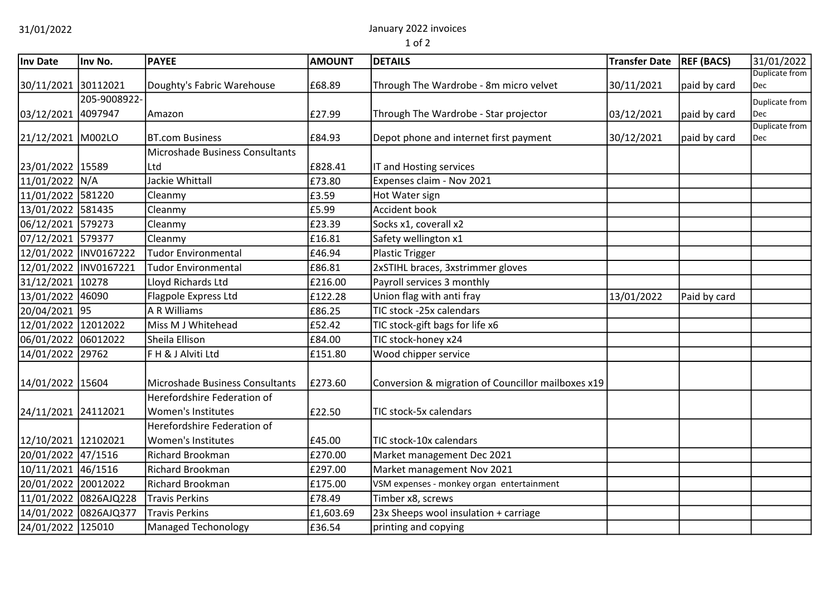31/01/2022 January 2022 invoices

| Inv Date            | Inv No.                | <b>PAYEE</b>                                      | <b>AMOUNT</b> | <b>DETAILS</b>                                     | <b>Transfer Date</b> | <b>REF (BACS)</b> | 31/01/2022            |
|---------------------|------------------------|---------------------------------------------------|---------------|----------------------------------------------------|----------------------|-------------------|-----------------------|
| 30/11/2021 30112021 |                        | Doughty's Fabric Warehouse                        | £68.89        | Through The Wardrobe - 8m micro velvet             | 30/11/2021           | paid by card      | Duplicate from<br>Dec |
|                     | 205-9008922-           |                                                   |               |                                                    |                      |                   | Duplicate from        |
| 03/12/2021          | 4097947                | Amazon                                            | £27.99        | Through The Wardrobe - Star projector              | 03/12/2021           | paid by card      | Dec                   |
| 21/12/2021 M002LO   |                        | <b>BT.com Business</b>                            | £84.93        | Depot phone and internet first payment             | 30/12/2021           | paid by card      | Duplicate from<br>Dec |
|                     |                        | Microshade Business Consultants                   |               |                                                    |                      |                   |                       |
| 23/01/2022 15589    |                        | Ltd                                               | £828.41       | IT and Hosting services                            |                      |                   |                       |
| 11/01/2022 N/A      |                        | Jackie Whittall                                   | £73.80        | Expenses claim - Nov 2021                          |                      |                   |                       |
| 11/01/2022 581220   |                        | Cleanmy                                           | £3.59         | Hot Water sign                                     |                      |                   |                       |
| 13/01/2022 581435   |                        | Cleanmy                                           | £5.99         | Accident book                                      |                      |                   |                       |
| 06/12/2021          | 579273                 | Cleanmy                                           | £23.39        | Socks x1, coverall x2                              |                      |                   |                       |
| 07/12/2021 579377   |                        | Cleanmy                                           | £16.81        | Safety wellington x1                               |                      |                   |                       |
|                     | 12/01/2022  INV0167222 | <b>Tudor Environmental</b>                        | £46.94        | <b>Plastic Trigger</b>                             |                      |                   |                       |
|                     | 12/01/2022 INV0167221  | <b>Tudor Environmental</b>                        | £86.81        | 2xSTIHL braces, 3xstrimmer gloves                  |                      |                   |                       |
| 31/12/2021          | 10278                  | Lloyd Richards Ltd                                | £216.00       | Payroll services 3 monthly                         |                      |                   |                       |
| 13/01/2022          | 46090                  | Flagpole Express Ltd                              | £122.28       | Union flag with anti fray                          | 13/01/2022           | Paid by card      |                       |
| 20/04/2021 95       |                        | <b>A R Williams</b>                               | £86.25        | TIC stock -25x calendars                           |                      |                   |                       |
| 12/01/2022 12012022 |                        | Miss M J Whitehead                                | £52.42        | TIC stock-gift bags for life x6                    |                      |                   |                       |
| 06/01/2022          | 06012022               | Sheila Ellison                                    | £84.00        | TIC stock-honey x24                                |                      |                   |                       |
| 14/01/2022          | 29762                  | F H & J Alviti Ltd                                | £151.80       | Wood chipper service                               |                      |                   |                       |
| 14/01/2022          | 15604                  | Microshade Business Consultants                   | £273.60       | Conversion & migration of Councillor mailboxes x19 |                      |                   |                       |
| 24/11/2021 24112021 |                        | Herefordshire Federation of<br>Women's Institutes | £22.50        | TIC stock-5x calendars                             |                      |                   |                       |
|                     |                        | Herefordshire Federation of                       |               |                                                    |                      |                   |                       |
| 12/10/2021 12102021 |                        | Women's Institutes                                | £45.00        | TIC stock-10x calendars                            |                      |                   |                       |
| 20/01/2022 47/1516  |                        | <b>Richard Brookman</b>                           | £270.00       | Market management Dec 2021                         |                      |                   |                       |
| 10/11/2021          | 46/1516                | Richard Brookman                                  | £297.00       | Market management Nov 2021                         |                      |                   |                       |
| 20/01/2022          | 20012022               | Richard Brookman                                  | £175.00       | VSM expenses - monkey organ entertainment          |                      |                   |                       |
|                     | 11/01/2022 0826AJQ228  | <b>Travis Perkins</b>                             | £78.49        | Timber x8, screws                                  |                      |                   |                       |
|                     | 14/01/2022 0826AJQ377  | <b>Travis Perkins</b>                             | £1,603.69     | 23x Sheeps wool insulation + carriage              |                      |                   |                       |
| 24/01/2022 125010   |                        | <b>Managed Techonology</b>                        | £36.54        | printing and copying                               |                      |                   |                       |
|                     |                        |                                                   |               |                                                    |                      |                   |                       |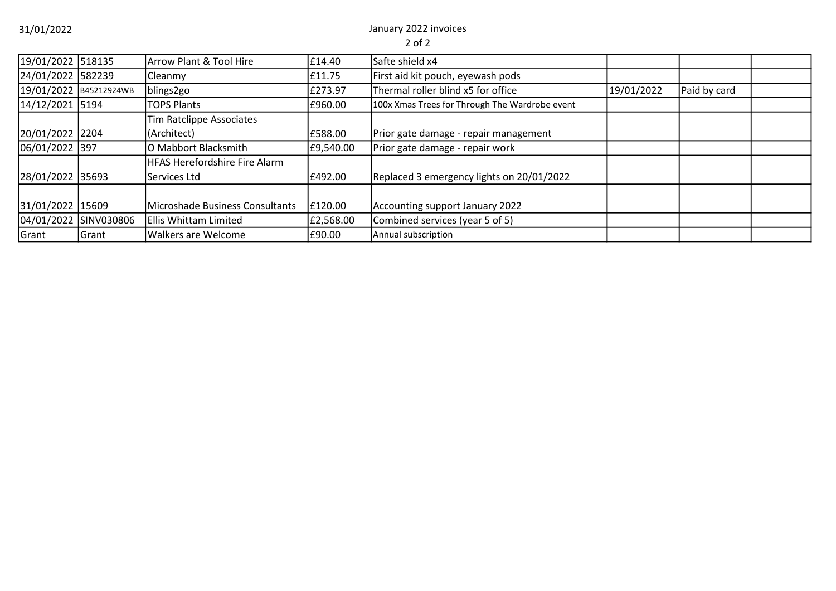31/01/2022 January 2022 invoices

| 19/01/2022 518135 |                        | Arrow Plant & Tool Hire              | £14.40    | Safte shield x4                                |            |              |  |
|-------------------|------------------------|--------------------------------------|-----------|------------------------------------------------|------------|--------------|--|
| 24/01/2022 582239 |                        | Cleanmy                              | £11.75    | First aid kit pouch, eyewash pods              |            |              |  |
|                   | 19/01/2022 B45212924WB | blings2go                            | £273.97   | Thermal roller blind x5 for office             | 19/01/2022 | Paid by card |  |
| 14/12/2021 5194   |                        | <b>TOPS Plants</b>                   | £960.00   | 100x Xmas Trees for Through The Wardrobe event |            |              |  |
|                   |                        | Tim Ratclippe Associates             |           |                                                |            |              |  |
| 20/01/2022 2204   |                        | (Architect)                          | £588.00   | Prior gate damage - repair management          |            |              |  |
| 06/01/2022 397    |                        | O Mabbort Blacksmith                 | £9,540.00 | Prior gate damage - repair work                |            |              |  |
|                   |                        | <b>HFAS Herefordshire Fire Alarm</b> |           |                                                |            |              |  |
| 28/01/2022 35693  |                        | Services Ltd                         | £492.00   | Replaced 3 emergency lights on 20/01/2022      |            |              |  |
|                   |                        |                                      |           |                                                |            |              |  |
| 31/01/2022 15609  |                        | Microshade Business Consultants      | £120.00   | Accounting support January 2022                |            |              |  |
|                   | 04/01/2022 SINV030806  | Ellis Whittam Limited                | £2,568.00 | Combined services (year 5 of 5)                |            |              |  |
| Grant             | Grant                  | <b>Walkers are Welcome</b>           | £90.00    | Annual subscription                            |            |              |  |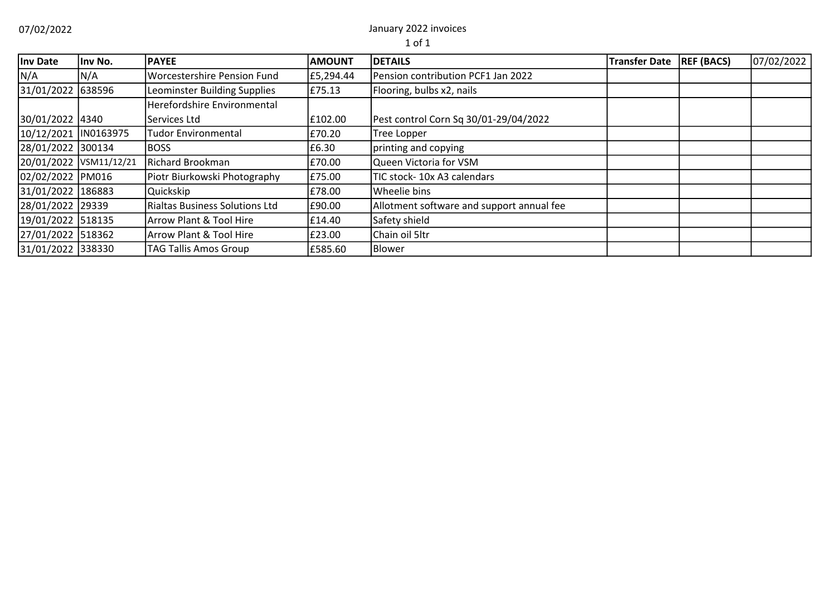07/02/2022 January 2022 invoices

| Inv Date             | llnv No.               | <b>PAYEE</b>                          | <b>AMOUNT</b> | <b>DETAILS</b>                            | <b>Transfer Date</b> | <b>REF (BACS)</b> | 07/02/2022 |
|----------------------|------------------------|---------------------------------------|---------------|-------------------------------------------|----------------------|-------------------|------------|
| N/A                  | N/A                    | <b>Worcestershire Pension Fund</b>    | £5,294.44     | Pension contribution PCF1 Jan 2022        |                      |                   |            |
| 31/01/2022 638596    |                        | Leominster Building Supplies          | £75.13        | Flooring, bulbs x2, nails                 |                      |                   |            |
|                      |                        | Herefordshire Environmental           |               |                                           |                      |                   |            |
| 30/01/2022 4340      |                        | Services Ltd                          | £102.00       | Pest control Corn Sq 30/01-29/04/2022     |                      |                   |            |
| 10/12/2021 IN0163975 |                        | Tudor Environmental                   | £70.20        | <b>Tree Lopper</b>                        |                      |                   |            |
| 28/01/2022 300134    |                        | <b>BOSS</b>                           | £6.30         | printing and copying                      |                      |                   |            |
|                      | 20/01/2022 VSM11/12/21 | <b>Richard Brookman</b>               | £70.00        | Queen Victoria for VSM                    |                      |                   |            |
| 02/02/2022 PM016     |                        | Piotr Biurkowski Photography          | £75.00        | TIC stock-10x A3 calendars                |                      |                   |            |
| 31/01/2022 186883    |                        | Quickskip                             | £78.00        | <b>Wheelie bins</b>                       |                      |                   |            |
| 28/01/2022 29339     |                        | <b>Rialtas Business Solutions Ltd</b> | £90.00        | Allotment software and support annual fee |                      |                   |            |
| 19/01/2022 518135    |                        | Arrow Plant & Tool Hire               | £14.40        | Safety shield                             |                      |                   |            |
| 27/01/2022 518362    |                        | Arrow Plant & Tool Hire               | £23.00        | Chain oil 5ltr                            |                      |                   |            |
| 31/01/2022 338330    |                        | <b>TAG Tallis Amos Group</b>          | £585.60       | Blower                                    |                      |                   |            |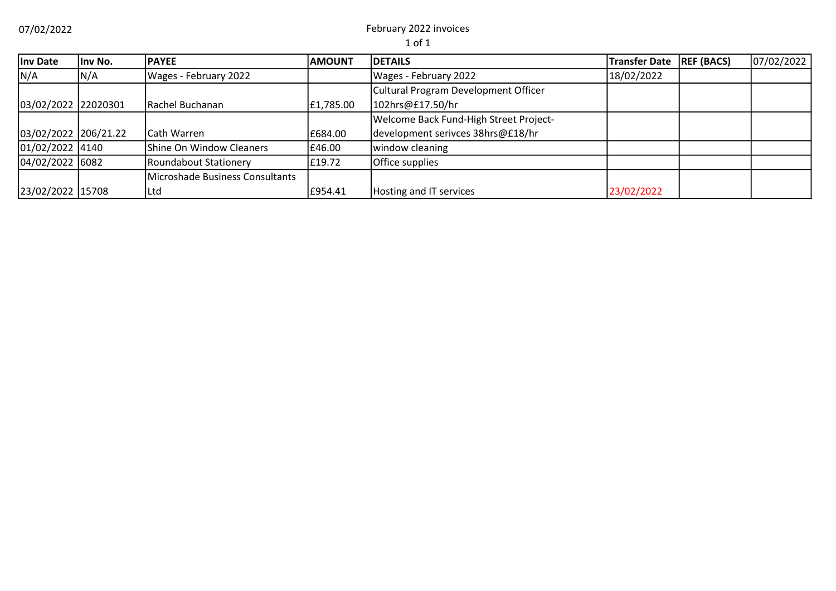07/02/2022 February 2022 invoices

| Inv Date             | Inv No. | <b>IPAYEE</b>                   | <b>AMOUNT</b> | <b>DETAILS</b>                         | <b>Transfer Date</b> | <b>REF (BACS)</b> | 07/02/2022 |
|----------------------|---------|---------------------------------|---------------|----------------------------------------|----------------------|-------------------|------------|
| N/A                  | N/A     | Wages - February 2022           |               | Wages - February 2022                  | 18/02/2022           |                   |            |
|                      |         |                                 |               | Cultural Program Development Officer   |                      |                   |            |
| 03/02/2022 22020301  |         | <b>IRachel Buchanan</b>         | £1,785.00     | 102hrs@£17.50/hr                       |                      |                   |            |
|                      |         |                                 |               | Welcome Back Fund-High Street Project- |                      |                   |            |
| 03/02/2022 206/21.22 |         | <b>Cath Warren</b>              | £684.00       | development serivces 38hrs@£18/hr      |                      |                   |            |
| $01/02/2022$ 4140    |         | Shine On Window Cleaners        | £46.00        | window cleaning                        |                      |                   |            |
| $04/02/2022$ 6082    |         | Roundabout Stationery           | £19.72        | <b>Office supplies</b>                 |                      |                   |            |
|                      |         | Microshade Business Consultants |               |                                        |                      |                   |            |
| 23/02/2022 15708     |         | <b>ILtd</b>                     | £954.41       | Hosting and IT services                | 23/02/2022           |                   |            |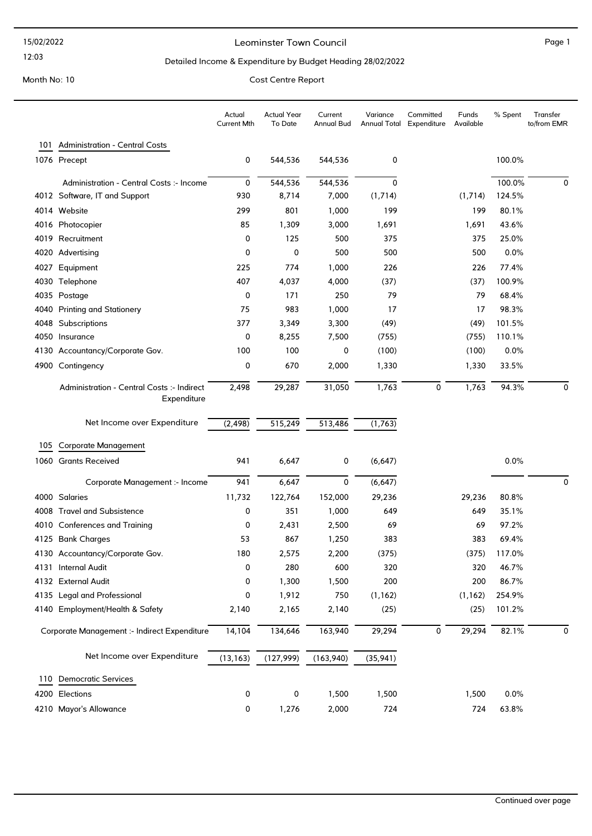#### Leominster Town Council and the contract of the Page 1

12:03

#### Detailed Income & Expenditure by Budget Heading 28/02/2022

| <b>Administration - Central Costs</b><br>101<br>1076 Precept<br>544,536<br>100.0%<br>0<br>544,536<br>0<br>$\mathsf 0$<br>544,536<br>544,536<br>100.0%<br>0<br>0<br>Administration - Central Costs :- Income<br>930<br>124.5%<br>4012 Software, IT and Support<br>8,714<br>7,000<br>(1,714)<br>(1,714)<br>299<br>801<br>80.1%<br>4014 Website<br>1,000<br>199<br>199<br>85<br>1,309<br>3,000<br>1,691<br>1,691<br>43.6%<br>4016 Photocopier<br>25.0%<br>Recruitment<br>0<br>125<br>500<br>375<br>375<br>4019<br>0<br>4020 Advertising<br>0<br>500<br>500<br>500<br>0.0%<br>225<br>774<br>226<br>77.4%<br>Equipment<br>1,000<br>226<br>4027<br>407<br>4,037<br>4,000<br>(37)<br>(37)<br>100.9%<br>4030 Telephone<br>171<br>79<br>68.4%<br>0<br>250<br>79<br>4035<br>Postage<br>75<br>983<br>17<br>98.3%<br><b>Printing and Stationery</b><br>1,000<br>17<br>4040<br>377<br>3,349<br>3,300<br>(49)<br>(49)<br>101.5%<br>4048<br>Subscriptions<br>(755)<br>110.1%<br>0<br>8,255<br>7,500<br>(755)<br>4050 Insurance<br>100<br>100<br>(100)<br>0<br>(100)<br>0.0%<br>4130 Accountancy/Corporate Gov.<br>0<br>670<br>4900 Contingency<br>2,000<br>1,330<br>1,330<br>33.5%<br>29,287<br>31,050<br>1,763<br>0<br>1,763<br>94.3%<br>Administration - Central Costs :- Indirect<br>2,498<br>0<br>Expenditure<br>(2, 498)<br>515,249<br>Net Income over Expenditure<br>513,486<br>(1,763)<br><b>Corporate Management</b><br>105<br>0.0%<br>1060 Grants Received<br>941<br>6,647<br>0<br>(6,647)<br>941<br>0<br>(6, 647)<br>6,647<br>0<br>Corporate Management :- Income<br>152,000<br>29,236<br>80.8%<br>4000 Salaries<br>11,732<br>122,764<br>29,236<br>4008 Travel and Subsistence<br>351<br>0<br>1,000<br>649<br>649<br>35.1%<br>0<br>2,431<br>2,500<br>69<br>69<br>97.2%<br>4010 Conferences and Training<br>53<br>867<br>383<br>383<br>69.4%<br>4125 Bank Charges<br>1,250<br>180<br>2,575<br>2,200<br>(375)<br>(375)<br>117.0%<br>4130 Accountancy/Corporate Gov.<br>0<br>280<br>46.7%<br>4131 Internal Audit<br>600<br>320<br>320<br>86.7%<br>4132 External Audit<br>1,300<br>1,500<br>200<br>200<br>0<br>1,912<br>4135 Legal and Professional<br>0<br>750<br>(1, 162)<br>(1, 162)<br>254.9%<br>(25)<br>101.2%<br>4140 Employment/Health & Safety<br>2,140<br>2,165<br>2,140<br>(25)<br>14,104<br>163,940<br>29,294<br>$\pmb{0}$<br>29,294<br>82.1%<br>Corporate Management :- Indirect Expenditure<br>134,646<br>$\mathbf 0$<br>Net Income over Expenditure<br>(13, 163)<br>(127, 999)<br>(163,940)<br>(35, 941)<br><b>Democratic Services</b><br>110<br>4200 Elections<br>0<br>1,500<br>1,500<br>0.0%<br>0<br>1,500<br>4210 Mayor's Allowance<br>0<br>1,276<br>2,000<br>724<br>63.8%<br>724 |  | Actual<br><b>Current Mth</b> | <b>Actual Year</b><br><b>To Date</b> | Current<br>Annual Bud | Variance<br>Annual Total | Committed<br>Expenditure | Funds<br>Available | % Spent | Transfer<br>to/from EMR |
|-------------------------------------------------------------------------------------------------------------------------------------------------------------------------------------------------------------------------------------------------------------------------------------------------------------------------------------------------------------------------------------------------------------------------------------------------------------------------------------------------------------------------------------------------------------------------------------------------------------------------------------------------------------------------------------------------------------------------------------------------------------------------------------------------------------------------------------------------------------------------------------------------------------------------------------------------------------------------------------------------------------------------------------------------------------------------------------------------------------------------------------------------------------------------------------------------------------------------------------------------------------------------------------------------------------------------------------------------------------------------------------------------------------------------------------------------------------------------------------------------------------------------------------------------------------------------------------------------------------------------------------------------------------------------------------------------------------------------------------------------------------------------------------------------------------------------------------------------------------------------------------------------------------------------------------------------------------------------------------------------------------------------------------------------------------------------------------------------------------------------------------------------------------------------------------------------------------------------------------------------------------------------------------------------------------------------------------------------------------------------------------------------------------------------------------------------------------------------------------------------------------------------------------------------------------------------------------------------------------------------------------------------------------------------------------------|--|------------------------------|--------------------------------------|-----------------------|--------------------------|--------------------------|--------------------|---------|-------------------------|
|                                                                                                                                                                                                                                                                                                                                                                                                                                                                                                                                                                                                                                                                                                                                                                                                                                                                                                                                                                                                                                                                                                                                                                                                                                                                                                                                                                                                                                                                                                                                                                                                                                                                                                                                                                                                                                                                                                                                                                                                                                                                                                                                                                                                                                                                                                                                                                                                                                                                                                                                                                                                                                                                                           |  |                              |                                      |                       |                          |                          |                    |         |                         |
|                                                                                                                                                                                                                                                                                                                                                                                                                                                                                                                                                                                                                                                                                                                                                                                                                                                                                                                                                                                                                                                                                                                                                                                                                                                                                                                                                                                                                                                                                                                                                                                                                                                                                                                                                                                                                                                                                                                                                                                                                                                                                                                                                                                                                                                                                                                                                                                                                                                                                                                                                                                                                                                                                           |  |                              |                                      |                       |                          |                          |                    |         |                         |
|                                                                                                                                                                                                                                                                                                                                                                                                                                                                                                                                                                                                                                                                                                                                                                                                                                                                                                                                                                                                                                                                                                                                                                                                                                                                                                                                                                                                                                                                                                                                                                                                                                                                                                                                                                                                                                                                                                                                                                                                                                                                                                                                                                                                                                                                                                                                                                                                                                                                                                                                                                                                                                                                                           |  |                              |                                      |                       |                          |                          |                    |         |                         |
|                                                                                                                                                                                                                                                                                                                                                                                                                                                                                                                                                                                                                                                                                                                                                                                                                                                                                                                                                                                                                                                                                                                                                                                                                                                                                                                                                                                                                                                                                                                                                                                                                                                                                                                                                                                                                                                                                                                                                                                                                                                                                                                                                                                                                                                                                                                                                                                                                                                                                                                                                                                                                                                                                           |  |                              |                                      |                       |                          |                          |                    |         |                         |
|                                                                                                                                                                                                                                                                                                                                                                                                                                                                                                                                                                                                                                                                                                                                                                                                                                                                                                                                                                                                                                                                                                                                                                                                                                                                                                                                                                                                                                                                                                                                                                                                                                                                                                                                                                                                                                                                                                                                                                                                                                                                                                                                                                                                                                                                                                                                                                                                                                                                                                                                                                                                                                                                                           |  |                              |                                      |                       |                          |                          |                    |         |                         |
|                                                                                                                                                                                                                                                                                                                                                                                                                                                                                                                                                                                                                                                                                                                                                                                                                                                                                                                                                                                                                                                                                                                                                                                                                                                                                                                                                                                                                                                                                                                                                                                                                                                                                                                                                                                                                                                                                                                                                                                                                                                                                                                                                                                                                                                                                                                                                                                                                                                                                                                                                                                                                                                                                           |  |                              |                                      |                       |                          |                          |                    |         |                         |
|                                                                                                                                                                                                                                                                                                                                                                                                                                                                                                                                                                                                                                                                                                                                                                                                                                                                                                                                                                                                                                                                                                                                                                                                                                                                                                                                                                                                                                                                                                                                                                                                                                                                                                                                                                                                                                                                                                                                                                                                                                                                                                                                                                                                                                                                                                                                                                                                                                                                                                                                                                                                                                                                                           |  |                              |                                      |                       |                          |                          |                    |         |                         |
|                                                                                                                                                                                                                                                                                                                                                                                                                                                                                                                                                                                                                                                                                                                                                                                                                                                                                                                                                                                                                                                                                                                                                                                                                                                                                                                                                                                                                                                                                                                                                                                                                                                                                                                                                                                                                                                                                                                                                                                                                                                                                                                                                                                                                                                                                                                                                                                                                                                                                                                                                                                                                                                                                           |  |                              |                                      |                       |                          |                          |                    |         |                         |
|                                                                                                                                                                                                                                                                                                                                                                                                                                                                                                                                                                                                                                                                                                                                                                                                                                                                                                                                                                                                                                                                                                                                                                                                                                                                                                                                                                                                                                                                                                                                                                                                                                                                                                                                                                                                                                                                                                                                                                                                                                                                                                                                                                                                                                                                                                                                                                                                                                                                                                                                                                                                                                                                                           |  |                              |                                      |                       |                          |                          |                    |         |                         |
|                                                                                                                                                                                                                                                                                                                                                                                                                                                                                                                                                                                                                                                                                                                                                                                                                                                                                                                                                                                                                                                                                                                                                                                                                                                                                                                                                                                                                                                                                                                                                                                                                                                                                                                                                                                                                                                                                                                                                                                                                                                                                                                                                                                                                                                                                                                                                                                                                                                                                                                                                                                                                                                                                           |  |                              |                                      |                       |                          |                          |                    |         |                         |
|                                                                                                                                                                                                                                                                                                                                                                                                                                                                                                                                                                                                                                                                                                                                                                                                                                                                                                                                                                                                                                                                                                                                                                                                                                                                                                                                                                                                                                                                                                                                                                                                                                                                                                                                                                                                                                                                                                                                                                                                                                                                                                                                                                                                                                                                                                                                                                                                                                                                                                                                                                                                                                                                                           |  |                              |                                      |                       |                          |                          |                    |         |                         |
|                                                                                                                                                                                                                                                                                                                                                                                                                                                                                                                                                                                                                                                                                                                                                                                                                                                                                                                                                                                                                                                                                                                                                                                                                                                                                                                                                                                                                                                                                                                                                                                                                                                                                                                                                                                                                                                                                                                                                                                                                                                                                                                                                                                                                                                                                                                                                                                                                                                                                                                                                                                                                                                                                           |  |                              |                                      |                       |                          |                          |                    |         |                         |
|                                                                                                                                                                                                                                                                                                                                                                                                                                                                                                                                                                                                                                                                                                                                                                                                                                                                                                                                                                                                                                                                                                                                                                                                                                                                                                                                                                                                                                                                                                                                                                                                                                                                                                                                                                                                                                                                                                                                                                                                                                                                                                                                                                                                                                                                                                                                                                                                                                                                                                                                                                                                                                                                                           |  |                              |                                      |                       |                          |                          |                    |         |                         |
|                                                                                                                                                                                                                                                                                                                                                                                                                                                                                                                                                                                                                                                                                                                                                                                                                                                                                                                                                                                                                                                                                                                                                                                                                                                                                                                                                                                                                                                                                                                                                                                                                                                                                                                                                                                                                                                                                                                                                                                                                                                                                                                                                                                                                                                                                                                                                                                                                                                                                                                                                                                                                                                                                           |  |                              |                                      |                       |                          |                          |                    |         |                         |
|                                                                                                                                                                                                                                                                                                                                                                                                                                                                                                                                                                                                                                                                                                                                                                                                                                                                                                                                                                                                                                                                                                                                                                                                                                                                                                                                                                                                                                                                                                                                                                                                                                                                                                                                                                                                                                                                                                                                                                                                                                                                                                                                                                                                                                                                                                                                                                                                                                                                                                                                                                                                                                                                                           |  |                              |                                      |                       |                          |                          |                    |         |                         |
|                                                                                                                                                                                                                                                                                                                                                                                                                                                                                                                                                                                                                                                                                                                                                                                                                                                                                                                                                                                                                                                                                                                                                                                                                                                                                                                                                                                                                                                                                                                                                                                                                                                                                                                                                                                                                                                                                                                                                                                                                                                                                                                                                                                                                                                                                                                                                                                                                                                                                                                                                                                                                                                                                           |  |                              |                                      |                       |                          |                          |                    |         |                         |
|                                                                                                                                                                                                                                                                                                                                                                                                                                                                                                                                                                                                                                                                                                                                                                                                                                                                                                                                                                                                                                                                                                                                                                                                                                                                                                                                                                                                                                                                                                                                                                                                                                                                                                                                                                                                                                                                                                                                                                                                                                                                                                                                                                                                                                                                                                                                                                                                                                                                                                                                                                                                                                                                                           |  |                              |                                      |                       |                          |                          |                    |         |                         |
|                                                                                                                                                                                                                                                                                                                                                                                                                                                                                                                                                                                                                                                                                                                                                                                                                                                                                                                                                                                                                                                                                                                                                                                                                                                                                                                                                                                                                                                                                                                                                                                                                                                                                                                                                                                                                                                                                                                                                                                                                                                                                                                                                                                                                                                                                                                                                                                                                                                                                                                                                                                                                                                                                           |  |                              |                                      |                       |                          |                          |                    |         |                         |
|                                                                                                                                                                                                                                                                                                                                                                                                                                                                                                                                                                                                                                                                                                                                                                                                                                                                                                                                                                                                                                                                                                                                                                                                                                                                                                                                                                                                                                                                                                                                                                                                                                                                                                                                                                                                                                                                                                                                                                                                                                                                                                                                                                                                                                                                                                                                                                                                                                                                                                                                                                                                                                                                                           |  |                              |                                      |                       |                          |                          |                    |         |                         |
|                                                                                                                                                                                                                                                                                                                                                                                                                                                                                                                                                                                                                                                                                                                                                                                                                                                                                                                                                                                                                                                                                                                                                                                                                                                                                                                                                                                                                                                                                                                                                                                                                                                                                                                                                                                                                                                                                                                                                                                                                                                                                                                                                                                                                                                                                                                                                                                                                                                                                                                                                                                                                                                                                           |  |                              |                                      |                       |                          |                          |                    |         |                         |
|                                                                                                                                                                                                                                                                                                                                                                                                                                                                                                                                                                                                                                                                                                                                                                                                                                                                                                                                                                                                                                                                                                                                                                                                                                                                                                                                                                                                                                                                                                                                                                                                                                                                                                                                                                                                                                                                                                                                                                                                                                                                                                                                                                                                                                                                                                                                                                                                                                                                                                                                                                                                                                                                                           |  |                              |                                      |                       |                          |                          |                    |         |                         |
|                                                                                                                                                                                                                                                                                                                                                                                                                                                                                                                                                                                                                                                                                                                                                                                                                                                                                                                                                                                                                                                                                                                                                                                                                                                                                                                                                                                                                                                                                                                                                                                                                                                                                                                                                                                                                                                                                                                                                                                                                                                                                                                                                                                                                                                                                                                                                                                                                                                                                                                                                                                                                                                                                           |  |                              |                                      |                       |                          |                          |                    |         |                         |
|                                                                                                                                                                                                                                                                                                                                                                                                                                                                                                                                                                                                                                                                                                                                                                                                                                                                                                                                                                                                                                                                                                                                                                                                                                                                                                                                                                                                                                                                                                                                                                                                                                                                                                                                                                                                                                                                                                                                                                                                                                                                                                                                                                                                                                                                                                                                                                                                                                                                                                                                                                                                                                                                                           |  |                              |                                      |                       |                          |                          |                    |         |                         |
|                                                                                                                                                                                                                                                                                                                                                                                                                                                                                                                                                                                                                                                                                                                                                                                                                                                                                                                                                                                                                                                                                                                                                                                                                                                                                                                                                                                                                                                                                                                                                                                                                                                                                                                                                                                                                                                                                                                                                                                                                                                                                                                                                                                                                                                                                                                                                                                                                                                                                                                                                                                                                                                                                           |  |                              |                                      |                       |                          |                          |                    |         |                         |
|                                                                                                                                                                                                                                                                                                                                                                                                                                                                                                                                                                                                                                                                                                                                                                                                                                                                                                                                                                                                                                                                                                                                                                                                                                                                                                                                                                                                                                                                                                                                                                                                                                                                                                                                                                                                                                                                                                                                                                                                                                                                                                                                                                                                                                                                                                                                                                                                                                                                                                                                                                                                                                                                                           |  |                              |                                      |                       |                          |                          |                    |         |                         |
|                                                                                                                                                                                                                                                                                                                                                                                                                                                                                                                                                                                                                                                                                                                                                                                                                                                                                                                                                                                                                                                                                                                                                                                                                                                                                                                                                                                                                                                                                                                                                                                                                                                                                                                                                                                                                                                                                                                                                                                                                                                                                                                                                                                                                                                                                                                                                                                                                                                                                                                                                                                                                                                                                           |  |                              |                                      |                       |                          |                          |                    |         |                         |
|                                                                                                                                                                                                                                                                                                                                                                                                                                                                                                                                                                                                                                                                                                                                                                                                                                                                                                                                                                                                                                                                                                                                                                                                                                                                                                                                                                                                                                                                                                                                                                                                                                                                                                                                                                                                                                                                                                                                                                                                                                                                                                                                                                                                                                                                                                                                                                                                                                                                                                                                                                                                                                                                                           |  |                              |                                      |                       |                          |                          |                    |         |                         |
|                                                                                                                                                                                                                                                                                                                                                                                                                                                                                                                                                                                                                                                                                                                                                                                                                                                                                                                                                                                                                                                                                                                                                                                                                                                                                                                                                                                                                                                                                                                                                                                                                                                                                                                                                                                                                                                                                                                                                                                                                                                                                                                                                                                                                                                                                                                                                                                                                                                                                                                                                                                                                                                                                           |  |                              |                                      |                       |                          |                          |                    |         |                         |
|                                                                                                                                                                                                                                                                                                                                                                                                                                                                                                                                                                                                                                                                                                                                                                                                                                                                                                                                                                                                                                                                                                                                                                                                                                                                                                                                                                                                                                                                                                                                                                                                                                                                                                                                                                                                                                                                                                                                                                                                                                                                                                                                                                                                                                                                                                                                                                                                                                                                                                                                                                                                                                                                                           |  |                              |                                      |                       |                          |                          |                    |         |                         |
|                                                                                                                                                                                                                                                                                                                                                                                                                                                                                                                                                                                                                                                                                                                                                                                                                                                                                                                                                                                                                                                                                                                                                                                                                                                                                                                                                                                                                                                                                                                                                                                                                                                                                                                                                                                                                                                                                                                                                                                                                                                                                                                                                                                                                                                                                                                                                                                                                                                                                                                                                                                                                                                                                           |  |                              |                                      |                       |                          |                          |                    |         |                         |
|                                                                                                                                                                                                                                                                                                                                                                                                                                                                                                                                                                                                                                                                                                                                                                                                                                                                                                                                                                                                                                                                                                                                                                                                                                                                                                                                                                                                                                                                                                                                                                                                                                                                                                                                                                                                                                                                                                                                                                                                                                                                                                                                                                                                                                                                                                                                                                                                                                                                                                                                                                                                                                                                                           |  |                              |                                      |                       |                          |                          |                    |         |                         |
|                                                                                                                                                                                                                                                                                                                                                                                                                                                                                                                                                                                                                                                                                                                                                                                                                                                                                                                                                                                                                                                                                                                                                                                                                                                                                                                                                                                                                                                                                                                                                                                                                                                                                                                                                                                                                                                                                                                                                                                                                                                                                                                                                                                                                                                                                                                                                                                                                                                                                                                                                                                                                                                                                           |  |                              |                                      |                       |                          |                          |                    |         |                         |
|                                                                                                                                                                                                                                                                                                                                                                                                                                                                                                                                                                                                                                                                                                                                                                                                                                                                                                                                                                                                                                                                                                                                                                                                                                                                                                                                                                                                                                                                                                                                                                                                                                                                                                                                                                                                                                                                                                                                                                                                                                                                                                                                                                                                                                                                                                                                                                                                                                                                                                                                                                                                                                                                                           |  |                              |                                      |                       |                          |                          |                    |         |                         |
|                                                                                                                                                                                                                                                                                                                                                                                                                                                                                                                                                                                                                                                                                                                                                                                                                                                                                                                                                                                                                                                                                                                                                                                                                                                                                                                                                                                                                                                                                                                                                                                                                                                                                                                                                                                                                                                                                                                                                                                                                                                                                                                                                                                                                                                                                                                                                                                                                                                                                                                                                                                                                                                                                           |  |                              |                                      |                       |                          |                          |                    |         |                         |
|                                                                                                                                                                                                                                                                                                                                                                                                                                                                                                                                                                                                                                                                                                                                                                                                                                                                                                                                                                                                                                                                                                                                                                                                                                                                                                                                                                                                                                                                                                                                                                                                                                                                                                                                                                                                                                                                                                                                                                                                                                                                                                                                                                                                                                                                                                                                                                                                                                                                                                                                                                                                                                                                                           |  |                              |                                      |                       |                          |                          |                    |         |                         |
|                                                                                                                                                                                                                                                                                                                                                                                                                                                                                                                                                                                                                                                                                                                                                                                                                                                                                                                                                                                                                                                                                                                                                                                                                                                                                                                                                                                                                                                                                                                                                                                                                                                                                                                                                                                                                                                                                                                                                                                                                                                                                                                                                                                                                                                                                                                                                                                                                                                                                                                                                                                                                                                                                           |  |                              |                                      |                       |                          |                          |                    |         |                         |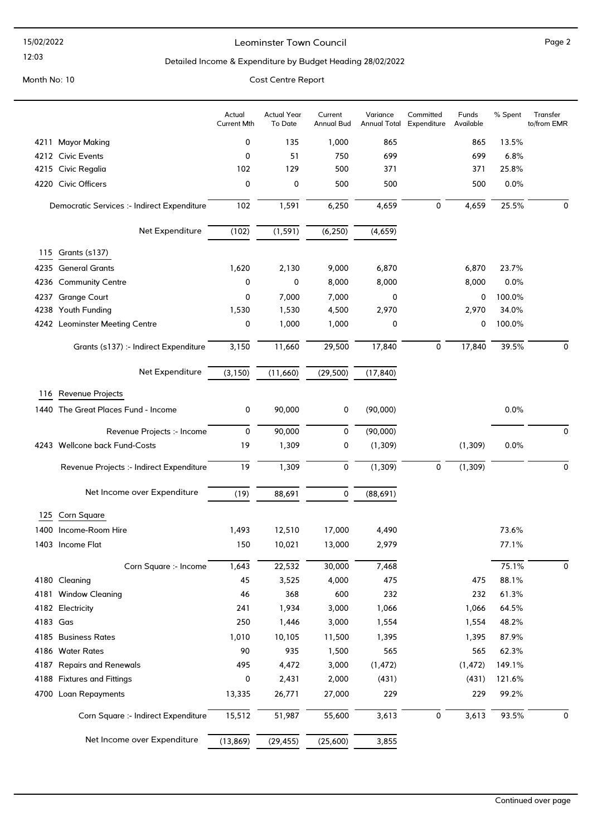12:03

#### Leominster Town Council Page 2

#### Detailed Income & Expenditure by Budget Heading 28/02/2022

Month No: 10 Cost Centre Report

## Actual Year To Date Current Annual Bud Variance Annual Total Committed Expenditure Funds Available Actual Current Mth % Spent Transfer to/from EMR 4211 Mayor Making 0 135 1,000 865 865 13.5% 4212 Civic Events 0 51 750 699 699 6.8% 4215 Civic Regalia 102 129 500 371 371 25.8% 4220 Civic Officers 0 0 500 500 500 0.0% Democratic Services :- Indirect Expenditure 102 1,591 6,250 4,659 0 4,659 25.5% 0 Net Expenditure (102) (1,591) (6,250) (4,659) 115 Grants (s137) 4235 General Grants 1,620 2,130 9,000 6,870 6,870 23.7% 4236 Community Centre 0 0 8,000 8,000 8,000 0.0% 4237 Grange Court 0 7,000 7,000 0 0 100.0% 4238 Youth Funding 1,530 1,530 4,500 2,970 2,970 34.0% 4242 Leominster Meeting Centre **0** 1,000 1,000 0 0 100.0% Grants (s137) :- Indirect Expenditure  $\frac{3,150}{3,150}$   $\frac{11,660}{11,660}$   $\frac{29,500}{29,500}$   $\frac{17,840}{17,840}$   $\frac{0}{0}$   $\frac{17,840}{39.5\%}$  0 Net Expenditure (3,150) (11,660) (29,500) (17,840) 116 Revenue Projects 1440 The Great Places Fund - Income  $\begin{array}{ccc} 0 & 90,000 & 0 & (90,000) & 0.0\% \end{array}$ Revenue Projects :- Income  $0$  90,000 0 (90,000) 0 0 (90,000) 4243 Wellcone back Fund-Costs 19 1,309 0 (1,309) (1,309) 0.0% Revenue Projects :- Indirect Expenditure  $\frac{19}{1,309}$   $\frac{1,309}{0}$   $\frac{1,309}{0}$   $\frac{0}{0}$   $\frac{1,309}{1,309}$ Net Income over Expenditure  $\overline{(19)}$   $\overline{88,691}$  0  $\overline{(88,691)}$ 125 Corn Square 1400 Income-Room Hire 1,493 12,510 17,000 4,490 73.6% 1403 Income Flat 150 10,021 13,000 2,979 77.1% Corn Square :- Income 1,643 22,532 30,000 7,468 75.1% 0 4180 Cleaning 45 3,525 4,000 475 475 88.1% 4181 Window Cleaning 46 368 600 232 232 61.3% 4182 Electricity 241 1,934 3,000 1,066 1,066 64.5% 4183 Gas 250 1,446 3,000 1,554 1,554 48.2% 4185 Business Rates 1,010 10,105 11,500 1,395 1,395 87.9% 4186 Water Rates 90 935 1,500 565 565 62.3% 4187 Repairs and Renewals 495 4,472 3,000 (1,472) (1,472) 149.1% 4188 Fixtures and Fittings 0 2,431 2,000 (431) (431) 121.6% 4700 Loan Repayments 13,335 26,771 27,000 229 229 99.2% Corn Square :- Indirect Expenditure 15,512 51,987 55,600 3,613 0 3,613 93.5% 0 Net Income over Expenditure (13,869) (29,455) (25,600) 3,855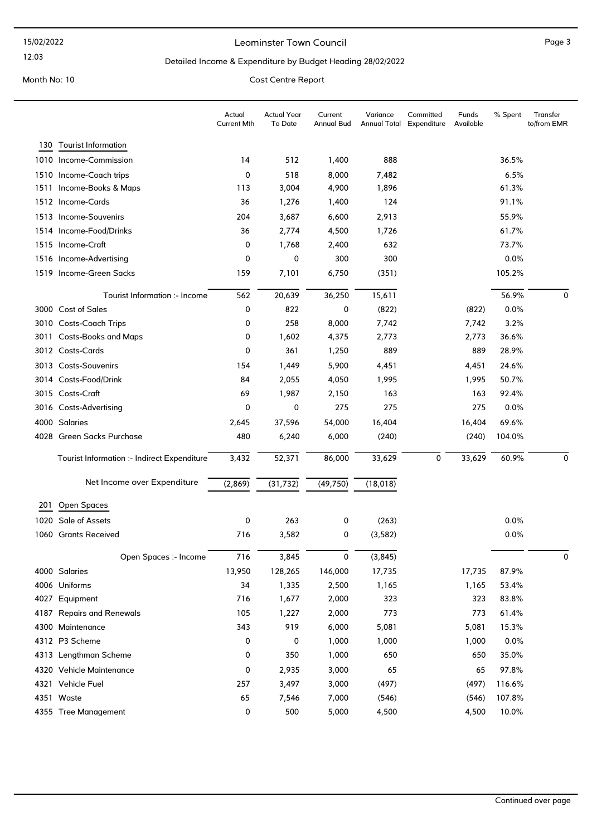12:03

#### Leominster Town Council and the contract of the Page 3

#### Detailed Income & Expenditure by Budget Heading 28/02/2022

|      |                                             | Actual<br><b>Current Mth</b> | <b>Actual Year</b><br>To Date | Current<br><b>Annual Bud</b> | Variance<br><b>Annual Total</b> | Committed<br>Expenditure | Funds<br>Available | % Spent | Transfer<br>to/from EMR |
|------|---------------------------------------------|------------------------------|-------------------------------|------------------------------|---------------------------------|--------------------------|--------------------|---------|-------------------------|
|      | 130 Tourist Information                     |                              |                               |                              |                                 |                          |                    |         |                         |
|      | 1010 Income-Commission                      | 14                           | 512                           | 1,400                        | 888                             |                          |                    | 36.5%   |                         |
|      | 1510 Income-Coach trips                     | 0                            | 518                           | 8,000                        | 7,482                           |                          |                    | 6.5%    |                         |
|      | 1511 Income-Books & Maps                    | 113                          | 3,004                         | 4,900                        | 1,896                           |                          |                    | 61.3%   |                         |
|      | 1512 Income-Cards                           | 36                           | 1,276                         | 1,400                        | 124                             |                          |                    | 91.1%   |                         |
|      | 1513 Income-Souvenirs                       | 204                          | 3,687                         | 6,600                        | 2,913                           |                          |                    | 55.9%   |                         |
|      | 1514 Income-Food/Drinks                     | 36                           | 2,774                         | 4,500                        | 1,726                           |                          |                    | 61.7%   |                         |
|      | 1515 Income-Craft                           | 0                            | 1,768                         | 2,400                        | 632                             |                          |                    | 73.7%   |                         |
|      | 1516 Income-Advertising                     | 0                            | 0                             | 300                          | 300                             |                          |                    | 0.0%    |                         |
|      | 1519 Income-Green Sacks                     | 159                          | 7,101                         | 6,750                        | (351)                           |                          |                    | 105.2%  |                         |
|      | Tourist Information :- Income               | 562                          | 20,639                        | 36,250                       | 15,611                          |                          |                    | 56.9%   | $\mathbf 0$             |
|      | 3000 Cost of Sales                          | 0                            | 822                           | 0                            | (822)                           |                          | (822)              | 0.0%    |                         |
|      | 3010 Costs-Coach Trips                      | 0                            | 258                           | 8,000                        | 7,742                           |                          | 7,742              | 3.2%    |                         |
| 3011 | <b>Costs-Books and Maps</b>                 | 0                            | 1,602                         | 4,375                        | 2,773                           |                          | 2,773              | 36.6%   |                         |
|      | 3012 Costs-Cards                            | 0                            | 361                           | 1,250                        | 889                             |                          | 889                | 28.9%   |                         |
|      | 3013 Costs-Souvenirs                        | 154                          | 1,449                         | 5,900                        | 4,451                           |                          | 4,451              | 24.6%   |                         |
|      | 3014 Costs-Food/Drink                       | 84                           | 2,055                         | 4,050                        | 1,995                           |                          | 1,995              | 50.7%   |                         |
|      | 3015 Costs-Craft                            | 69                           | 1,987                         | 2,150                        | 163                             |                          | 163                | 92.4%   |                         |
|      | 3016 Costs-Advertising                      | 0                            | 0                             | 275                          | 275                             |                          | 275                | 0.0%    |                         |
|      | 4000 Salaries                               | 2,645                        | 37,596                        | 54,000                       | 16,404                          |                          | 16,404             | 69.6%   |                         |
|      | 4028 Green Sacks Purchase                   | 480                          | 6,240                         | 6,000                        | (240)                           |                          | (240)              | 104.0%  |                         |
|      | Tourist Information :- Indirect Expenditure | 3,432                        | 52,371                        | 86,000                       | 33,629                          | 0                        | 33,629             | 60.9%   | 0                       |
|      | Net Income over Expenditure                 | (2,869)                      | (31, 732)                     | (49, 750)                    | (18, 018)                       |                          |                    |         |                         |
| 201  | Open Spaces                                 |                              |                               |                              |                                 |                          |                    |         |                         |
| 1020 | Sale of Assets                              | 0                            | 263                           | 0                            | (263)                           |                          |                    | 0.0%    |                         |
| 1060 | <b>Grants Received</b>                      | 716                          | 3,582                         | 0                            | (3, 582)                        |                          |                    | 0.0%    |                         |
|      | Open Spaces :- Income                       | 716                          | 3,845                         | 0                            | (3, 845)                        |                          |                    |         | 0                       |
|      | 4000 Salaries                               | 13,950                       | 128,265                       | 146,000                      | 17,735                          |                          | 17,735             | 87.9%   |                         |
|      | 4006 Uniforms                               | 34                           | 1,335                         | 2,500                        | 1,165                           |                          | 1,165              | 53.4%   |                         |
|      | 4027 Equipment                              | 716                          | 1,677                         | 2,000                        | 323                             |                          | 323                | 83.8%   |                         |
|      | 4187 Repairs and Renewals                   | 105                          | 1,227                         | 2,000                        | 773                             |                          | 773                | 61.4%   |                         |
|      | 4300 Maintenance                            | 343                          | 919                           | 6,000                        | 5,081                           |                          | 5,081              | 15.3%   |                         |
|      | 4312 P3 Scheme                              | 0                            | 0                             | 1,000                        | 1,000                           |                          | 1,000              | 0.0%    |                         |
|      | 4313 Lengthman Scheme                       | 0                            | 350                           | 1,000                        | 650                             |                          | 650                | 35.0%   |                         |
|      | 4320 Vehicle Maintenance                    | 0                            | 2,935                         | 3,000                        | 65                              |                          | 65                 | 97.8%   |                         |
|      | 4321 Vehicle Fuel                           | 257                          | 3,497                         | 3,000                        | (497)                           |                          | (497)              | 116.6%  |                         |
|      | 4351 Waste                                  | 65                           | 7,546                         | 7,000                        | (546)                           |                          | (546)              | 107.8%  |                         |
|      | 4355 Tree Management                        | 0                            | 500                           | 5,000                        | 4,500                           |                          | 4,500              | 10.0%   |                         |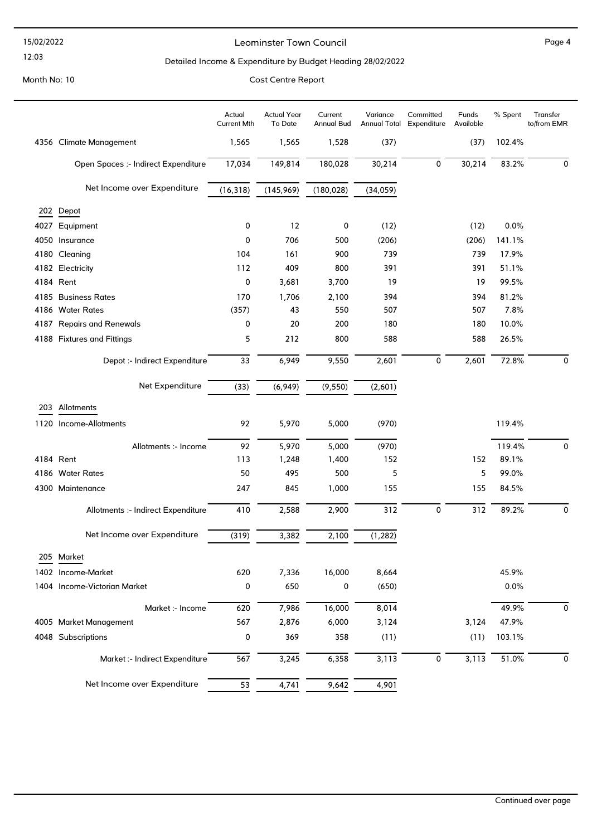#### 15/02/2022

#### 12:03

#### Leominster Town Council and the contract of the Page 4

#### Detailed Income & Expenditure by Budget Heading 28/02/2022

|      |                                     | Actual<br><b>Current Mth</b> | <b>Actual Year</b><br>To Date | Current<br>Annual Bud | Variance<br><b>Annual Total</b> | Committed<br>Expenditure | Funds<br>Available | % Spent | Transfer<br>to/from EMR |
|------|-------------------------------------|------------------------------|-------------------------------|-----------------------|---------------------------------|--------------------------|--------------------|---------|-------------------------|
|      | 4356 Climate Management             | 1,565                        | 1,565                         | 1,528                 | (37)                            |                          | (37)               | 102.4%  |                         |
|      | Open Spaces :- Indirect Expenditure | 17,034                       | 149,814                       | 180,028               | 30,214                          | 0                        | 30,214             | 83.2%   | 0                       |
|      | Net Income over Expenditure         | (16, 318)                    | (145,969)                     | (180, 028)            | (34, 059)                       |                          |                    |         |                         |
|      | 202 Depot                           |                              |                               |                       |                                 |                          |                    |         |                         |
| 4027 | Equipment                           | 0                            | 12                            | 0                     | (12)                            |                          | (12)               | 0.0%    |                         |
|      | 4050 Insurance                      | 0                            | 706                           | 500                   | (206)                           |                          | (206)              | 141.1%  |                         |
|      | 4180 Cleaning                       | 104                          | 161                           | 900                   | 739                             |                          | 739                | 17.9%   |                         |
|      | 4182 Electricity                    | 112                          | 409                           | 800                   | 391                             |                          | 391                | 51.1%   |                         |
|      | 4184 Rent                           | 0                            | 3,681                         | 3,700                 | 19                              |                          | 19                 | 99.5%   |                         |
|      | 4185 Business Rates                 | 170                          | 1,706                         | 2,100                 | 394                             |                          | 394                | 81.2%   |                         |
|      | 4186 Water Rates                    | (357)                        | 43                            | 550                   | 507                             |                          | 507                | 7.8%    |                         |
|      | 4187 Repairs and Renewals           | 0                            | 20                            | 200                   | 180                             |                          | 180                | 10.0%   |                         |
|      | 4188 Fixtures and Fittings          | 5                            | 212                           | 800                   | 588                             |                          | 588                | 26.5%   |                         |
|      | Depot :- Indirect Expenditure       | 33                           | 6,949                         | 9,550                 | 2,601                           | 0                        | 2,601              | 72.8%   | 0                       |
|      | Net Expenditure                     | (33)                         | (6,949)                       | (9, 550)              | (2,601)                         |                          |                    |         |                         |
|      | 203 Allotments                      |                              |                               |                       |                                 |                          |                    |         |                         |
|      | 1120 Income-Allotments              | 92                           | 5,970                         | 5,000                 | (970)                           |                          |                    | 119.4%  |                         |
|      | Allotments :- Income                | 92                           | 5,970                         | 5,000                 | (970)                           |                          |                    | 119.4%  | 0                       |
|      | 4184 Rent                           | 113                          | 1,248                         | 1,400                 | 152                             |                          | 152                | 89.1%   |                         |
|      | 4186 Water Rates                    | 50                           | 495                           | 500                   | 5                               |                          | 5                  | 99.0%   |                         |
|      | 4300 Maintenance                    | 247                          | 845                           | 1,000                 | 155                             |                          | 155                | 84.5%   |                         |
|      | Allotments :- Indirect Expenditure  | 410                          | 2,588                         | 2,900                 | 312                             | 0                        | 312                | 89.2%   | 0                       |
|      | Net Income over Expenditure         | (319)                        | 3,382                         | 2,100                 | (1, 282)                        |                          |                    |         |                         |
|      | 205 Market                          |                              |                               |                       |                                 |                          |                    |         |                         |
|      | 1402 Income-Market                  | 620                          | 7,336                         | 16,000                | 8,664                           |                          |                    | 45.9%   |                         |
|      | 1404 Income-Victorian Market        | 0                            | 650                           | 0                     | (650)                           |                          |                    | 0.0%    |                         |
|      | Market :- Income                    | 620                          | 7,986                         | 16,000                | 8,014                           |                          |                    | 49.9%   | 0                       |
|      | 4005 Market Management              | 567                          | 2,876                         | 6,000                 | 3,124                           |                          | 3,124              | 47.9%   |                         |
|      | 4048 Subscriptions                  | 0                            | 369                           | 358                   | (11)                            |                          | (11)               | 103.1%  |                         |
|      | Market :- Indirect Expenditure      | 567                          | 3,245                         | 6,358                 | 3,113                           | 0                        | 3,113              | 51.0%   | 0                       |
|      | Net Income over Expenditure         | 53                           | 4,741                         | 9,642                 | 4,901                           |                          |                    |         |                         |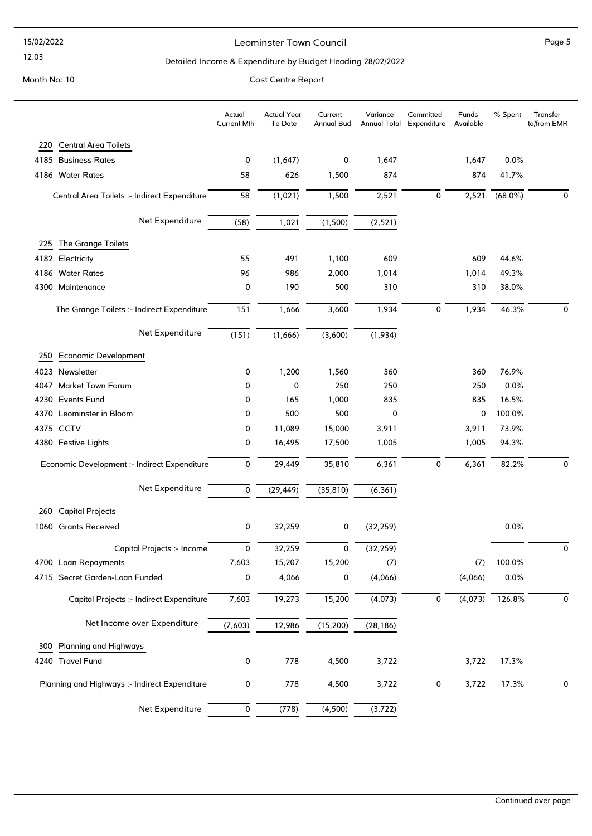#### 15/02/2022

### 12:03

#### Leominster Town Council and the contract of the Page 5

#### Detailed Income & Expenditure by Budget Heading 28/02/2022

Month No: 10 Cost Centre Report

# Actual Year To Date Current Annual Bud Variance Annual Total Expenditure Committed Funds Available Actual Current Mth % Spent Transfer to/from EMR 220 Central Area Toilets 4185 Business Rates 0 (1,647) 0 1,647 1,647 0.0% 4186 Water Rates 58 626 1,500 874 874 41.7% Central Area Toilets :- Indirect Expenditure 58 (1,021) 1,500 2,521 0 2,521 (68.0%) 0 Net Expenditure (58) 1,021 (1,500) (2,521) 225 The Grange Toilets 4182 Electricity 55 491 1,100 609 609 44.6% 4186 Water Rates 96 986 2,000 1,014 1,014 49.3% 4300 Maintenance 0 190 500 310 310 38.0% The Grange Toilets :- Indirect Expenditure 151 1,666 3,600 1,934 0 1,934 46.3% 0 Net Expenditure (151) (1,666) (3,600) (1,934) 250 Economic Development 4023 Newsletter 0 1,200 1,560 360 360 76.9% 4047 Market Town Forum 0 0 250 250 250 0.0% 4230 Events Fund 0 165 1,000 835 835 16.5% 4370 Leominster in Bloom **0** 100.0% **0** 500 500 0 100.0% 4375 CCTV 0 11,089 15,000 3,911 3,911 73.9% 4380 Festive Lights 0 16,495 17,500 1,005 1,005 94.3% Economic Development :- Indirect Expenditure 0 29,449 35,810 6,361 0 6,361 82.2% 0 Net Expenditure  $\overline{0}$   $\overline{(29,449)}$   $\overline{(35,810)}$   $\overline{(6,361)}$ 260 Capital Projects 1060 Grants Received 0 32,259 0 (32,259) 0.0% Capital Projects :- Income 0 32,259 0 (32,259) 0 4700 Loan Repayments 7,603 15,207 15,200 (7) (7) 100.0% 4715 Secret Garden-Loan Funded 0 4,066 0 (4,066) (4,066) 0.0% Capital Projects :- Indirect Expenditure 7,603 19,273 15,200 (4,073) 0 (4,073) 126.8% 0 Net Income over Expenditure (7,603) 12,986 (15,200) (28,186) 300 Planning and Highways 4240 Travel Fund 0 778 4,500 3,722 3,722 17.3% Planning and Highways :- Indirect Expenditure  $\overline{0}$   $\overline{778}$   $\overline{4,500}$   $\overline{3,722}$   $\overline{0}$   $\overline{3,722}$   $\overline{17.3\%}$   $\overline{0}$ Net Expenditure  $\overline{0}$   $(778)$   $(4,500)$   $(3,722)$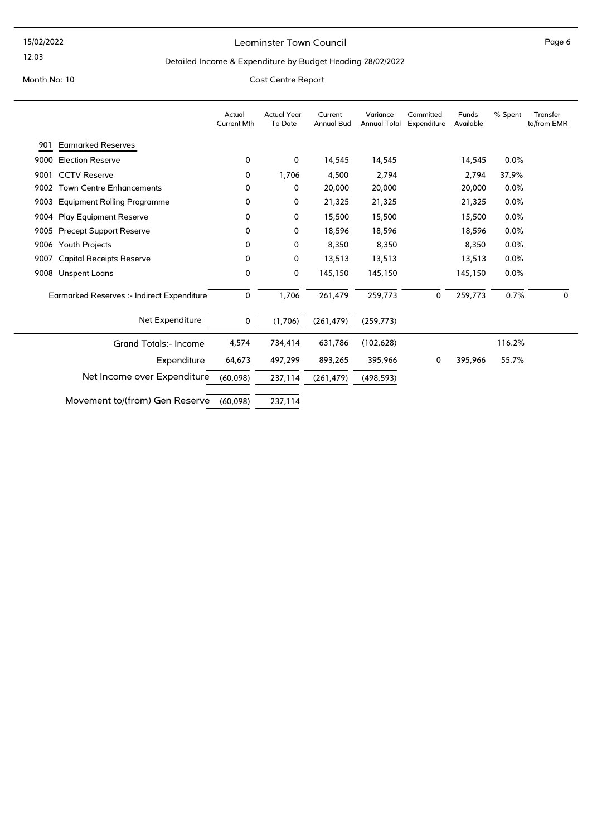12:03

#### Leominster Town Council and the contract of the Page 6

#### Detailed Income & Expenditure by Budget Heading 28/02/2022

|      |                                            | Actual<br><b>Current Mth</b> | <b>Actual Year</b><br>To Date | Current<br><b>Annual Bud</b> | Variance<br><b>Annual Total</b> | Committed<br>Expenditure | Funds<br>Available | % Spent | Transfer<br>to/from EMR |
|------|--------------------------------------------|------------------------------|-------------------------------|------------------------------|---------------------------------|--------------------------|--------------------|---------|-------------------------|
| 901  | <b>Earmarked Reserves</b>                  |                              |                               |                              |                                 |                          |                    |         |                         |
| 9000 | <b>Election Reserve</b>                    | 0                            | 0                             | 14,545                       | 14,545                          |                          | 14,545             | 0.0%    |                         |
| 9001 | <b>CCTV Reserve</b>                        | 0                            | 1,706                         | 4,500                        | 2,794                           |                          | 2,794              | 37.9%   |                         |
| 9002 | <b>Town Centre Enhancements</b>            | 0                            | 0                             | 20,000                       | 20,000                          |                          | 20,000             | 0.0%    |                         |
| 9003 | <b>Equipment Rolling Programme</b>         | 0                            | 0                             | 21,325                       | 21,325                          |                          | 21,325             | 0.0%    |                         |
| 9004 | <b>Play Equipment Reserve</b>              | 0                            | 0                             | 15,500                       | 15,500                          |                          | 15,500             | 0.0%    |                         |
| 9005 | <b>Precept Support Reserve</b>             | 0                            | 0                             | 18,596                       | 18,596                          |                          | 18,596             | 0.0%    |                         |
| 9006 | Youth Projects                             | 0                            | 0                             | 8,350                        | 8,350                           |                          | 8,350              | 0.0%    |                         |
| 9007 | <b>Capital Receipts Reserve</b>            | 0                            | 0                             | 13,513                       | 13,513                          |                          | 13,513             | 0.0%    |                         |
| 9008 | Unspent Loans                              | 0                            | 0                             | 145,150                      | 145,150                         |                          | 145,150            | 0.0%    |                         |
|      | Earmarked Reserves :- Indirect Expenditure | 0                            | 1,706                         | 261,479                      | 259,773                         | 0                        | 259,773            | 0.7%    | 0                       |
|      | Net Expenditure                            | 0                            | (1,706)                       | (261, 479)                   | (259, 773)                      |                          |                    |         |                         |
|      | <b>Grand Totals:- Income</b>               | 4,574                        | 734,414                       | 631,786                      | (102, 628)                      |                          |                    | 116.2%  |                         |
|      | Expenditure                                | 64,673                       | 497,299                       | 893,265                      | 395,966                         | 0                        | 395,966            | 55.7%   |                         |
|      | Net Income over Expenditure                | (60,098)                     | 237,114                       | (261, 479)                   | (498, 593)                      |                          |                    |         |                         |
|      | Movement to/(from) Gen Reserve             | (60,098)                     | 237,114                       |                              |                                 |                          |                    |         |                         |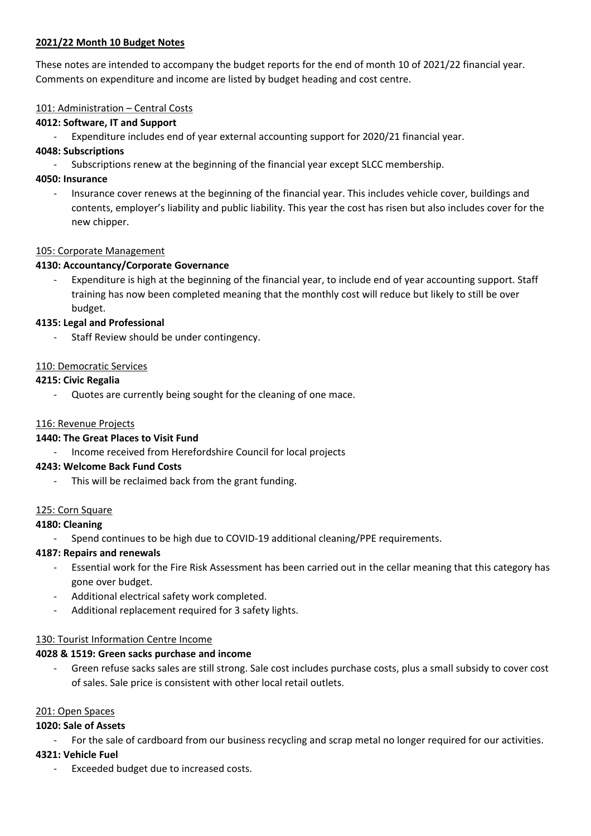#### **2021/22 Month 10 Budget Notes**

These notes are intended to accompany the budget reports for the end of month 10 of 2021/22 financial year. Comments on expenditure and income are listed by budget heading and cost centre.

#### 101: Administration – Central Costs

#### **4012: Software, IT and Support**

Expenditure includes end of year external accounting support for 2020/21 financial year.

#### **4048: Subscriptions**

Subscriptions renew at the beginning of the financial year except SLCC membership.

#### **4050: Insurance**

- Insurance cover renews at the beginning of the financial year. This includes vehicle cover, buildings and contents, employer's liability and public liability. This year the cost has risen but also includes cover for the new chipper.

#### 105: Corporate Management

#### **4130: Accountancy/Corporate Governance**

Expenditure is high at the beginning of the financial year, to include end of year accounting support. Staff training has now been completed meaning that the monthly cost will reduce but likely to still be over budget.

#### **4135: Legal and Professional**

Staff Review should be under contingency.

#### 110: Democratic Services

#### **4215: Civic Regalia**

Quotes are currently being sought for the cleaning of one mace.

#### 116: Revenue Projects

#### **1440: The Great Places to Visit Fund**

- Income received from Herefordshire Council for local projects

#### **4243: Welcome Back Fund Costs**

This will be reclaimed back from the grant funding.

#### 125: Corn Square

#### **4180: Cleaning**

Spend continues to be high due to COVID-19 additional cleaning/PPE requirements.

#### **4187: Repairs and renewals**

- Essential work for the Fire Risk Assessment has been carried out in the cellar meaning that this category has gone over budget.
- Additional electrical safety work completed.
- Additional replacement required for 3 safety lights.

#### 130: Tourist Information Centre Income

#### **4028 & 1519: Green sacks purchase and income**

Green refuse sacks sales are still strong. Sale cost includes purchase costs, plus a small subsidy to cover cost of sales. Sale price is consistent with other local retail outlets.

#### 201: Open Spaces

## **1020: Sale of Assets**

For the sale of cardboard from our business recycling and scrap metal no longer required for our activities.

## **4321: Vehicle Fuel**

Exceeded budget due to increased costs.